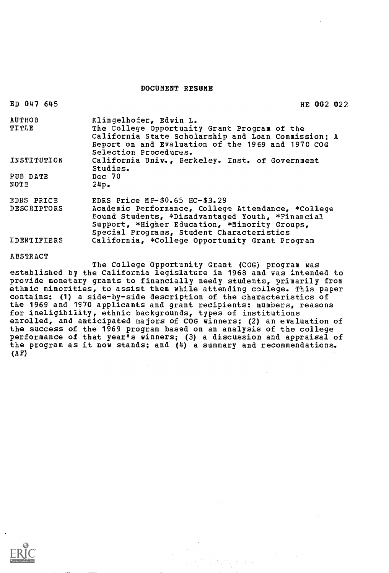### DOCUMENT RESUME

| ED 047 645                | HE 002 022                                                                                                                                                                                                                                 |
|---------------------------|--------------------------------------------------------------------------------------------------------------------------------------------------------------------------------------------------------------------------------------------|
| <b>AUTHOR</b><br>TITLE    | Klingelhofer, Edwin L.<br>The College Opportunity Grant Program of the<br>California State Scholarship and Loan Commission; A<br>Report on and Evaluation of the 1969 and 1970 COG<br>Selection Procedures.                                |
| INSTITUTION               | California Univ., Berkeley. Inst. of Government<br>Studies.                                                                                                                                                                                |
| PUB DATE<br>NOTE          | Dec~70<br>24p.                                                                                                                                                                                                                             |
| EDRS PRICE<br>DESCRIPTORS | EDRS Price MF- $$0.65$ HC- $$3.29$<br>Academic Performance, College Attendance, *College<br>Found Students, *Disadvantaged Youth, *Financial<br>Support, *Higher Education, *Minority Groups,<br>Special Programs, Student Characteristics |
| <b>IDENTIFIERS</b>        | California, *College Opportunity Grant Program                                                                                                                                                                                             |

**ABSTRACT** 

The College Opportunity Grant (COG) program was established by the California legislature in 1968 and was intended to provide monetary grants to financially needy students, primarily from ethnic minorities, to assist them while attending college. This paper contains: (1) a side-by-side description of the characteristics of the 1969 and 1970 applicants and grant recipients: numbers, reasons for ineligibility, ethnic backgrounds, types of institutions enrolled, and anticipated majors of COG winners; (2) an evaluation of the success of the 1969 program based on an analysis of the college performance of that year's winners; (3) a discussion and appraisal of the program as it now stands; and (4) a summary and recommendations.  $(AF)$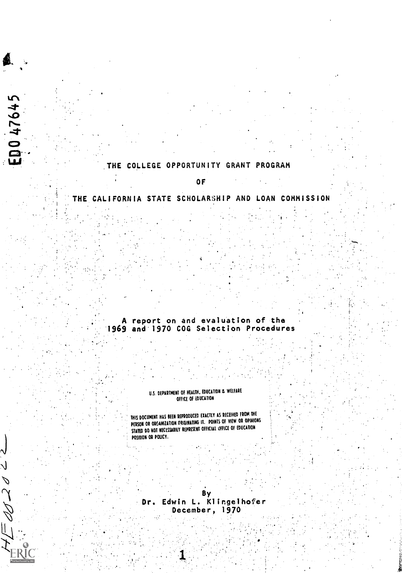### THE COLLEGE OPPORTUNITY GRANT PROGRAM

ED047645

 $d/d2$ 

### OF

### THE CALIFORNIA STATE SCHOLARSHIP AND LOAN COMMISSION

### A report on and evaluation of the 1969 and 1970 COG Selection Procedures

### U.S. DEPARTMENT OF HEALTH, EDUCATION & WELFARE OFFICE OF EDUCATION

THIS DOCUMENT HAS BEEN REPRODUCED EXACTLY AS RECEIVED FROM THE PERSON OR ORGANIZATION ORIGINATING IT. POINTS OF VIEW OR OPINIONS STATED DO NOT NECESSARILY REPRESENT OFFICIAL OFFICE OF EDUCATION POSITION OR POLICY.

By Dr. Edwin L. Klingelhofer December, 1970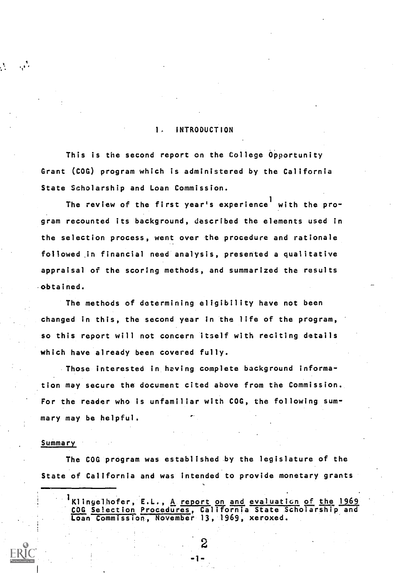### 1. INTRODUCTION

This is the second report on the College Opportunity Grant (COG) program which is administered by the California State Scholarship and Loan Commission.

The review of the first year's experience<sup>1</sup> with the program recounted its background, described the elements used in the selection process, went over the procedure and rationale followed jn financial need analysis, presented a qualitative appraisal of the scoring methods, and summarized the results obtained.

The methods of determining eligibility have not been changed in this, the second year in the life of the program, so this report will not concern itself with reciting details which have already been covered fully.

Those interested in having complete background information may secure the document cited above from the Commission. For the reader who is unfamiliar with COG, the following summary may be helpful.

### Summary

 $\mathbf{r}$ 

 $\mathcal{L}$ 

The COG program was established by the legislature of the State of California and was intended to provide monetary grants

Klingelhofer, E.L., <u>A</u> report on and evaluation of the 1969 COG Selection ProCedures, California State Scholarship and Loan Commission, November 13, 1969, xeroxed.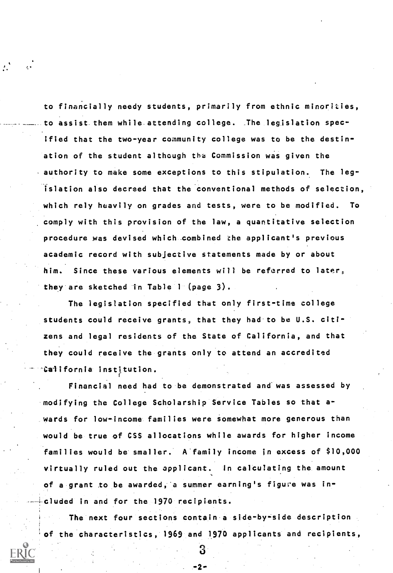to financially needy students, primarily from ethnic minorities, o assist them while attending college. The legislation specified that the two-year community college was to be the destination of the student although the Commission was given the authority to make some exceptions to this stipulation. The legislation also decreed that the conventional methods of selection, which rely heavily on grades and tests, were to be modified. To comply with this provision of the law, a quantitative selection procedure was devised which combined the applicant's previous academic record with subjective statements made by or about him. Since these various elements will be referred to later, they are sketched in Table <sup>1</sup> (page 3).

The legislation specified that only first-time college students could receive grants, that they had to be U.S. citizens and legal residents of the State of California, and that they could receive the grants only to attend an accredited California institution.

Financial need had to be demonstrated and was assessed by modifying the College Scholarship Service Tables so that awards for low-income families were somewhat more generous than would be true of CSS allocations while awards for higher income families would be smaller. A family income in excess of \$10,000 virtually ruled out the applicant. In calculating the amount of a grant to be awarded, a summer earning's figure was included in and for the 1970 recipients.

The next four sections contain a side-by-side description of the characteristics, 1969 and 1970 applicants and recipients,

-2-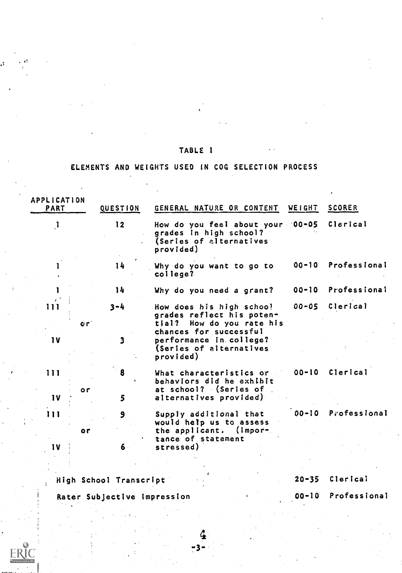# TABLE <sup>1</sup>

# ELEMENTS AND WEIGHTS USED IN COG SELECTION PROCESS

| APPLICATION<br><b>PART</b> | QUESTION | GENERAL NATURE OR CONTENT                                                                                              | WEIGHT    | <b>SCORER</b>   |
|----------------------------|----------|------------------------------------------------------------------------------------------------------------------------|-----------|-----------------|
| $\mathbf{1}$               | 12       | How do you feel about your 00-05<br>grades in high school?<br>(Series of alternatives<br>provided)                     |           | Clerical        |
|                            | 14       | Why do you want to go to<br>college?                                                                                   | $00 - 10$ | Professional    |
|                            | 14       | Why do you need a grant?                                                                                               | $00 - 10$ | Professional    |
| l 1 1                      | $3 - 4$  | How does his high schoo!<br>grades reflect his poten-                                                                  | 00-05     | <b>Clerical</b> |
| or'<br>1 <sub>V</sub>      | 3        | tial? How do you rate his<br>chances for successful<br>performance in college?<br>(Series of alternatives<br>provided) |           |                 |
| 111<br>or<br>$\mathbf{v}$  | 8<br>5   | What characteristics or<br>behaviors did he exhibit<br>at school? (Series of<br>alternatives provided)                 | $00 - 10$ | Clerical        |
| 111<br>or                  | 9        | Supply additional that<br>would help us to assess<br>the applicant. (impor-                                            | $00 - 10$ | Professional    |
| 1 V                        | $6 -$    | tance of statement<br>stressed)                                                                                        |           |                 |

High School Transcript

20 -35 Clerical

00-10 Professional

Rater Subjective Impression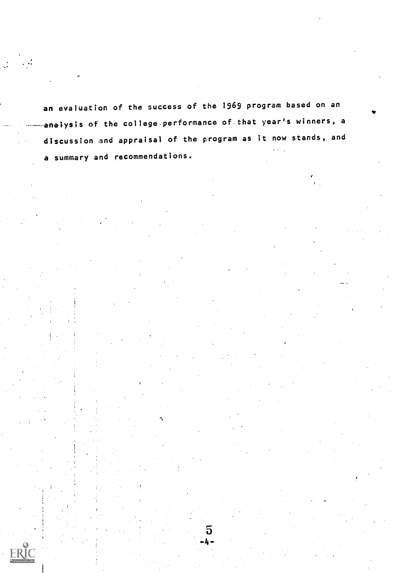an evaluation of the success of the 1969 program based on an analysis of the college performance of that year's winners, a discussion and appraisal of the program as it now stands,. and a summary and recommendations.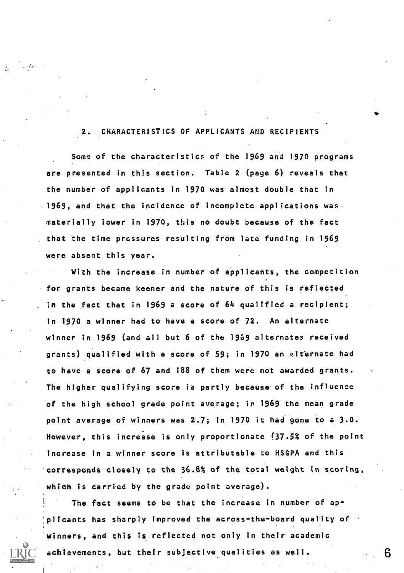## 2. CHARACTERISTICS OF APPLICANTS AND RECIPIENTS

Some of the characteristics of the 1969 and 1970 programs are presented in this section. Table 2 (page 6) reveals that the number of applicants in 1970 was almost double that in  $1969$ , and that the incidence of incomplete applications was. materially lower in 1970, this no doubt because of the fact that the time pressures resulting from late funding in 1969 were absent this year.

With the increase in number of applicants, the competition for grants became keener and the nature of this is reflected in the fact that in 1969 a score of 64 qualified a recipient; in 1970 a winner had to have a score of 72. An alternate winner in 1969 (and all but 6 of the 1969 alternates received grants) qualified with a score of 59; in 1970 an alternate had to have a score. of 67 and 188 of them were not awarded grants. The higher qualifying score is partly because of the influence of the high school grade point average; in 1969 the mean grade point average of winners was 2.7; in 1970 it had gone to a 3.0. However, this increase is only proportionate (37.5% of the point increase in a winner score is attributable to HSGPA and this corresponds closely to the 36.8% of the total weight in scoring, which is carried by the grade point average).

The fact seems to be that the increase in number of applicants has sharply improved the across-the-board quality of winners, and this is reflected not only in their academic achievements, but their subjective qualities as well.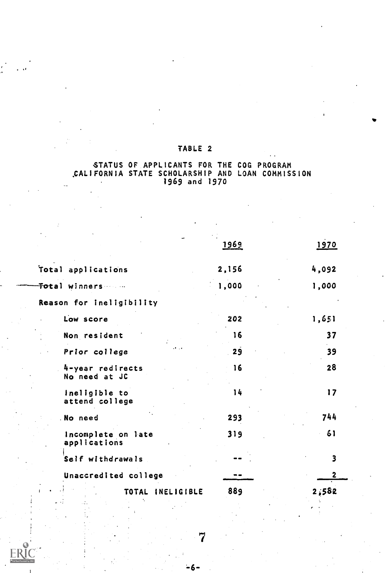# TABLE 2

### STATUS OF APPLICANTS FOR THE COG PROGRAM ,CALIFORNIA STATE SCHOLARSHIP AND LOAN COMMISSION 1969 and 1970

|                                    | 1969  | 1970  |
|------------------------------------|-------|-------|
| Total applications                 | 2,156 | 4,092 |
| <b>Total winners</b>               | 1,000 | 1,000 |
| Reason for ineligibility           |       |       |
| Low score                          | 202   | 1,651 |
| Non resident                       | 16    | 37    |
| Prior college                      | 29    | 39    |
| 4-year redirects<br>No need at JC  | 16    | 28    |
| Ineligible to<br>attend college    | 14    | 17    |
| No need                            | 293   | 744   |
| Incomplete on late<br>applications | 319   | 61    |
| Self withdrawals                   |       | 3     |
| Unaccredited college               |       | 2     |
| TOTAL<br>INELIGIBLE                | 889   | 2,582 |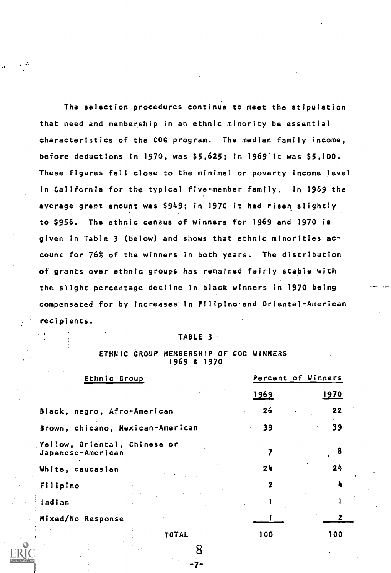The selection procedures continue to meet the stipulation that need and membership in an ethnic minority be essential characteristics of the COG program. The median family income, before deductions in 1970, was \$5,625; in 1969 it was \$5,100. These figures fall close to the minimal or poverty income level in California for the typical five-member family. In 1969 the average grant amount was \$949; in 1970 it had risen slightly to \$956. The ethnic census of winners for 1969 and 1970 is given in Table 3 (below) and shows that ethnic minorities account for 76% of the winners in both years. The distribution of grants over ethnic groups has remained fairly stable with the slight percentage decline in black winners in 1970 being compensated for by increases in Filipino and Oriental-American recipients.

÷.

### TABLE 3

### ETHNIC GROUP MEMBERSHIP OF COG WINNERS 1969 s 1970

| Ethnic Group                                      | Percent of Winners |      |
|---------------------------------------------------|--------------------|------|
|                                                   | 1969               | 1970 |
| Black, negro, Afro-American                       | 26                 | 22   |
| Brown, chicano, Mexican-American                  | 39                 | 39   |
| Yellow, Oriental, Chinese or<br>Japanese-American |                    | 8    |
| White, caucasian                                  | 24                 | 24   |
| Filipino                                          | $\mathbf{2}$       |      |
| indian                                            |                    |      |
| Mixed/No Response                                 |                    |      |
| <b>TOTAL</b>                                      | 100                | 100  |

<u>ম</u>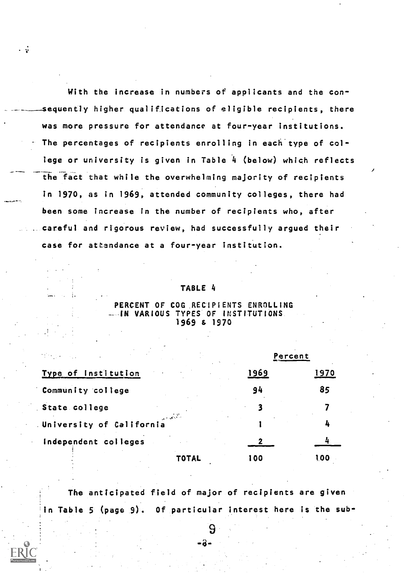With the increase in numbers of applicants and the con sequently higher qualifications of eligible recipients, there was more pressure for attendance at four-year institutions. The percentages of recipients enrolling in each type of college or university is given in Table 4 (below) which reflects the fact that while the overwhelming majority of recipients in 1970, as in 1969, attended community colleges, there had n been some increase in the number of recipients who, after careful and rigorous review, had successfully argued their case for attendance at a four-year institution.

. ÷

### TABLE 4

### PERCENT OF COG RECIPIENTS ENROLLING **LUIN VARIOUS TYPES OF INSTITUTIONS** 1969 & 1970

|                                                                     |       |      | Percent |  |  |
|---------------------------------------------------------------------|-------|------|---------|--|--|
| Type of Institution                                                 |       | 1969 | 1970    |  |  |
| Community college                                                   |       | 94   | 85      |  |  |
| State college                                                       |       |      |         |  |  |
| $\mathcal{L}^{\text{max}}_{\text{max}}$<br>University of California |       |      |         |  |  |
| Independent colleges                                                |       |      |         |  |  |
|                                                                     | TOTAL | 100  | 100     |  |  |

The anticipated field of major of recipients are given Table 5 (page 9). Of particular interest here is the sub-

-8-

 $\overline{9}$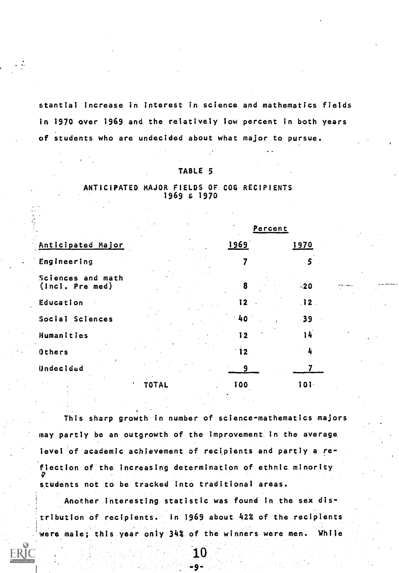stantial increase in interest in science and mathematics fields in 1970 over 1969 and the relatively low percent in both years of students who are undecided about what major to pursue.

### TABLE 5

### ANTICIPATED MAJOR FIELDS OF COG RECIPIENTS 1969 & 1970

|                                      | Percent |                         |                 |  |  |  |
|--------------------------------------|---------|-------------------------|-----------------|--|--|--|
| Anticipated Major                    |         | 1969                    | <u>1970</u>     |  |  |  |
| Engineering                          |         |                         | 5 <sup>1</sup>  |  |  |  |
| Sciences and math<br>(Incl. Pre med) |         | 8                       | -20             |  |  |  |
| Education                            |         | 12.                     | 12 <sub>1</sub> |  |  |  |
| Social Sciences                      |         | 40                      | 39              |  |  |  |
| Humanities                           |         | I 2                     | 14              |  |  |  |
| Others                               |         | $\overline{\mathbf{2}}$ | 4               |  |  |  |
| Undecided                            |         |                         |                 |  |  |  |
|                                      |         | 100                     | 10 I ·          |  |  |  |

This sharp growth in number of science-mathematics majors may partly be an outgrowth of the improvement in the average level of academic achievement of recipients and partly a reflection of the increasing determination of ethnic minority students not to be tracked into traditional areas.

Another interesting statistic was found In the sex distribution of recipients. In 1969 about 42% of the recipients were male; this year only 34% of the winners were men. While

> 10 -9-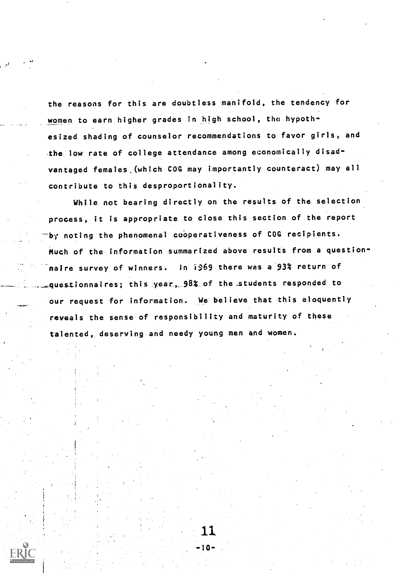the reasons for this are doubtless manifold, the tendency for women to earn higher grades in high school, the hypothesized shading of counselor recommendations to favor girls, and the low rate of college attendance among economically disadvantaged females (which COG may importantly counteract) may all contribute to this desproportionality.

While not bearing directly on the results of the selection process, it is appropriate to close this section of the report by noting the phenomenal cooperativeness of COG recipients. Much of the information summarized above results from a questionnaire survey of winners. In i969 there was a 93% return of questionnaires; this year, 98% of the students responded to our request for information. We believe that this eloquently reveals the sense of responsibility and maturity of these talented, deserving and needy young men and women.

11

۰ι Λ.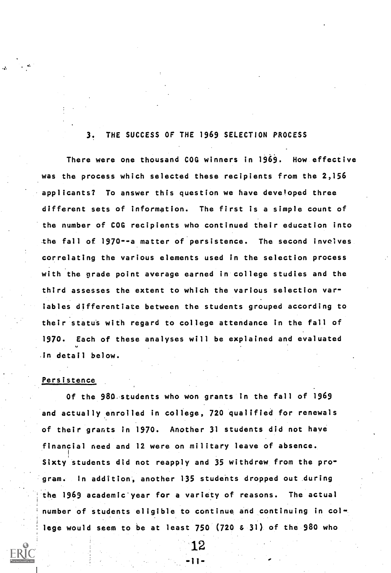### THE SUCCESS OF THE 1969 SELECTION PROCESS 3.

There were one thousand COG winners in 1969. How effective was the process which selected these recipients from the 2,156 applicants? To answer this question we have developed three different sets of information. The first is a simple count of the number of COG recipients who continued their education into the fall of 1970--a matter of persistence. The second involves correlating the various elements used in the selection process with the grade point average earned in college studies and the third assesses the extent to which the various selection variables differentiate between the students grouped according to their status with regard to college attendance in the fall of 1970. Each of these analyses will be explained and evaluated in detail below.

### Persistence,

Of the 980 students who won grants in the fall of 1969 and actually enrolled in college, 720 qualified for renewals of their grants in 1970. Another 31 students did not have financial need and 12 were on military leave of absence. Sixty students did not reapply and 35 withdrew from the program. In addition, another 135 students dropped out during the 1969 academic year for a variety of reasons. The actual number of students eligible to continue and continuing in college would seem to be at least 750 (720 & 31) of the 980 who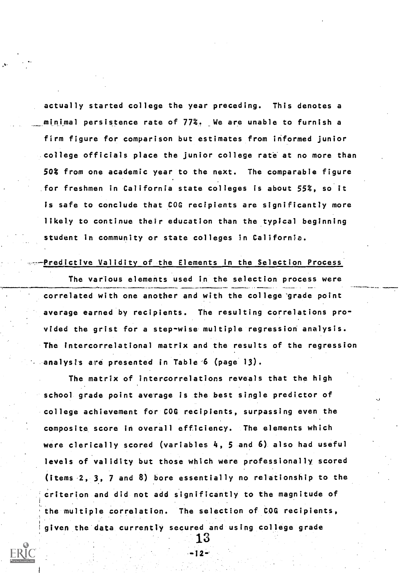actually started college the year preceding. This denotes a minimal persistence rate of 77%. We are unable to furnish a firm figure for comparison but estimates from informed junior college officials place the junior college rate at no more than 50% from one academic year to the next. The comparable figure for freshmen in California state colleges is about 55%, so it is safe to conclude that COG recipients are significantly more likely to continue their education than the typical beginning student in community or state colleges in California.

### Predictive Validity of the Elements in the Selection Process

The various elements used in the selection process were correlated with one another and with the college'grade point average earned by recipients. The resulting correlations provided the grist for a step-wise multiple regression analysis. The intercorrelational matrix and the results of the regression analysts are presented in Table 6 (page 13).

The matrix of intercorrelations reveals that the high school grade point average is the best single predictor of college achievement for COG recipients, surpassing even the composite score in overall efficiency. The elements which were clerically scored (variables 4, 5 and 6) also had useful levels of validity but those which were professionally scored (items 2, 3, 7 and 8) bore essentially no relationship to the criterion and did not add significantly to the magnitude of the multiple correlation. The selection of COG recipients, given the data currently secured and using college grade

12-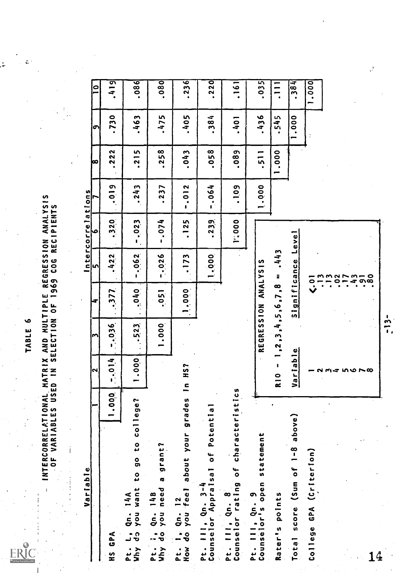ERIC

TABLE 6<br>And Mul<br>Lection

INTERCORRELATIONAL MATRIX AND MULTIPLE REGRESSION ANALYSIS OF VARIABLES USED IN SELECTION OF 1969 COG RECIPIENTS Variable Intercorrelations Variable Intercorrelations 14A<br>Variable International Intercorrelations 14A<br>14A on HS GPA 11.000. Pt. L, Qn. 14A Why do you want to go to college? Pt. ;, Qn. 14B Why do you need a grant? 2 3 4 5 6 7.036 ....377 .422 ..3.2.0 1.000 ..5.23. .040 7..0.62 .7.023 Pt. I, Qn. 12 How do you feel about your grades In HS? Pt. III, Qn. 3-4 Counselor Appraisal of Potential Pt. III, Qn. 8 Counselor rating of characteristics Pt. III, Qn. 9 Counselor's open statement Rater's points Total score (Sum of 1 -8 above) College GPA (Criterion) 1.000 .051 -.026 -.074 1.000 .173 .125 .23.9. v400. REGRESSION ANALYSIS RIO - 1,2,3,4,5,6,7,8 = .443 Variable Significance Level 1 (.01 2 .13 3 .13 4 .02 5 .17 6 .43 7 .91 8 .80 7 8 9 10 ...0.19 .222 .730 .419 .243 .215 .463 .086 .237 .258 .475 .080 -.012 .043 .405 .236 -.064 .058 .384 .220 .1.09 .089 .401 .161 1.000 .511 .436 .035 1.000 .545 .111 1.000 .384 1.000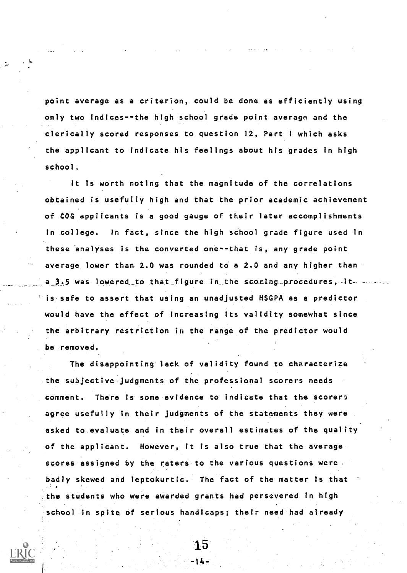point average as a criterion, could be done as efficiently using only two indices--the high school grade point average and the clerically scored responses to question 12, Part <sup>I</sup> which asks the applicant to indicate his feelings about his grades in high school.

It is worth noting that the magnitude of the correlations obtained is usefully high and that the prior academic achievement of COG applicants is a good gauge of their later accomplishments in college. In fact, since the high school grade figure used in these analyses is the converted one--that is, any grade point average lower than 2.0 was rounded to a 2.0 and any higher than a\_3.5 was lowered to that figure in the scoring procedures, it is safe to assert that using an unadjusted HSGPA as a predictor would have the effect of increasing its validity somewhat since the arbitrary restriction in the range of the predictor would be removed.

The disappointing lack of validity found to characterize the subjective judgments of the professional scorers needs comment. There is some evidence to indicate that the scorer agree usefully in their judgments of the statements they were asked to evaluate and in their overall estimates of the quality of the applicant. However, it is also true that the average scores assigned by the raters to the various questions were. badly skewed and leptokurtic. The fact of the matter is that the students who were awarded grants had persevered in high school in spite of serious handicaps; their need had already

> 15 -14-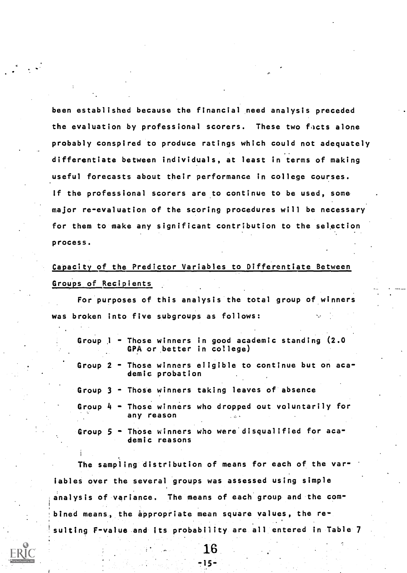been established because the financial need analysis preceded the evaluation by professional scorers. These two facts alone probably conspired to produce ratings which could not adequately differentiate between individuals, at least in terms of making useful forecasts about their performance in college courses. If the professional scorers are to continue to be used, some major re-evaluation of the scoring procedures will be necessary for them to make any significant contribution to the selection process.

Capacity of the Predictor Variables to Differentiate Between Groups of Recipients

For purposes of this analysis the total group of winners was broken into five subgroups as follows:

- Group <sup>1</sup> Those winners in good academic standing (2.0 GPA or better in college)
- Group 2 Those winners eligible to continue but on academic probation
- Group 3 Those winners taking leaves of absence
- Group 4 Those winners who dropped out voluntarily for any reason

Group 5 - Those winners who were disqualified for academic reasons

The sampling distribution of means for each of the variables over the several groups was assessed using simple .analysis of variance. The means of each group and the com bined means, the appropriate mean square values, the resulting F-value and its probability are all entered in Table 7

16

 $15 -$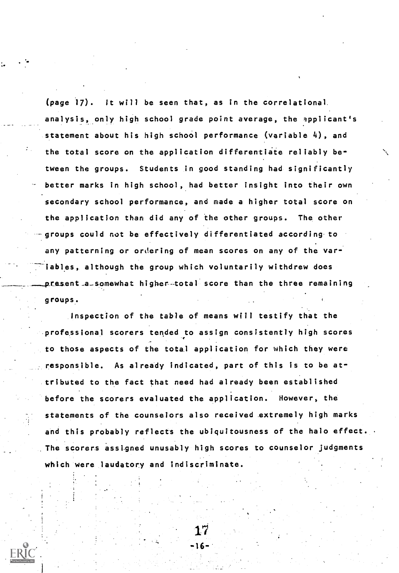(page 17). It will be seen that, as in the correlational analysis, only high school grade point average, the applicant's statement about his high school performance (variable 4), and the total score on the application differentiate reliably between the groups. Students in good standing had significantly better marks in high school, had better insight into their own secondary school performance, and made a higher total score on the application than did any of the other groups. The other groups could not be effectively differentiated according to any patterning or ordering of mean scores on any of the var iables, although the group which voluntarily withdrew does  $\tt{p}{\tt resent}$  a somewhat higher-total score than the three remaining groups.

Inspection of the table of means will testify that the professional scorers tended to assign consistently high scores to those aspects of the total application for which they were responsible. As already indicated, part of this is to be attributed to the fact that need had already been established before the scorers evaluated the application. However, the statements of the counselors also received extremely high marks and this probably reflects the ubiquitousness of the halo effect. The scorers assigned unusably high scores to counselor judgments which were laudatory and indiscriminate.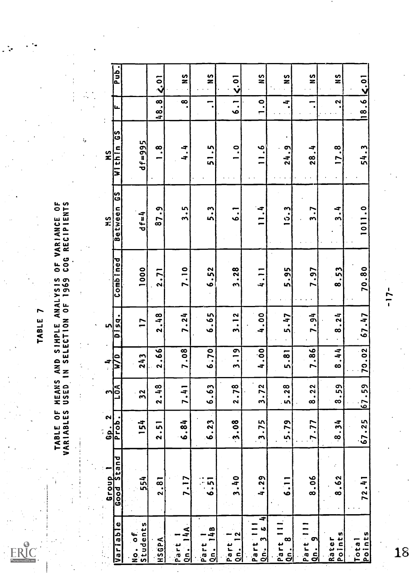**ERIC** 

# TABLE OF MEANS AND SIMPLE ANALYSIS OF VARIANCE OF<br>Variables Used in Selection of 1969 Cog Recipients

 $\ddot{.}$ 

| <b>Ldu</b> <sup>l</sup>                        |                                                | $\ddot{S}$   | $\frac{6}{1}$                   | s<br>N                                | $\leq$ .01                             | $\frac{6}{1}$                                                                  | ပ္ပ<br>Z                   | <u>ဟ</u>                              | თ<br>ጃ          |                             |        |
|------------------------------------------------|------------------------------------------------|--------------|---------------------------------|---------------------------------------|----------------------------------------|--------------------------------------------------------------------------------|----------------------------|---------------------------------------|-----------------|-----------------------------|--------|
| u.                                             |                                                | 48.8         | $\infty$                        | $\overline{\phantom{0}}$<br>$\bullet$ | $\ddot{\circ}$                         | $\ddot{ }$ .                                                                   | ÷,                         | -                                     | 2               | $18.6$ $\leq$ 01            |        |
| ပြီ<br>Within<br>$\frac{5}{2}$                 | $d f = 995$                                    | $\infty$     | 4.4                             | 51.5                                  | o<br>.                                 | ٞڢ<br>$\equiv$                                                                 | 24.9                       | 28.4                                  | 17.8<br>$\cdot$ | 54.3                        |        |
| ပ္ပြ<br>Between<br>si<br>Si                    | $d f = 4$                                      | 87.9         | 3.5                             | 5.3                                   | $\ddot{6}$                             | 11.4                                                                           | 15.3                       | $\overline{\phantom{0}}$              | 3.4             | 1011.0                      |        |
| Combined                                       | 1000                                           | 2.71         | 7.10                            | 6.52                                  | 3.28                                   | 4.11                                                                           | 5.95                       | 7.97                                  | 8.53            | 70.80                       | $-17-$ |
| <b>Disq.</b><br>$\mathbf{v}$                   | $\overline{1}$                                 | 2.48         | 7.24                            | 6.65                                  | 3.12                                   | 4.00                                                                           | 5.47                       | 7.94                                  | 8.24            | 67.47                       |        |
| $\mathbf{e}$<br>4<br>Ξ<br>$\hat{z}$            | 243                                            | 2.66         | 7.08                            | 6:70                                  | 3.19                                   | 4.00                                                                           | 5.81                       | 7.86                                  | 8.44            | 70.02                       |        |
| l≤l<br>ျာ                                      | <u>୍ଥ</u>                                      | 2.48         | $\overline{\phantom{0}}$<br>7.4 | 6.63                                  | ò<br>$\overline{2} \cdot \overline{7}$ | $\mathbf{N}$<br>3.7                                                            | $\infty$<br>5.2            | $\tilde{\mathbf{S}}$<br>$\frac{2}{3}$ | 8.59            | 67.59                       |        |
| $\mathbf{\tilde{z}}$<br>Prob.<br>.<br>أق<br>÷, | 154                                            | 2.51         | 6.84                            | 6.23                                  | 3.08                                   | $3 - 75$                                                                       | $-5.79$                    | $7 - 77$                              | 8.34            | 67.25                       |        |
| Stand<br>Group<br>Good                         | 554                                            | 2.81         | 7.17                            | :<br>5<br>ف                           | 3.40                                   | 4.29                                                                           | 6.11                       | 8.06                                  | $\cdot$<br>8.62 | 72.41                       |        |
| Variable                                       | <b>Students</b><br>$\mathbf{e}$<br>$rac{1}{2}$ | <b>HSGPA</b> | $Qn - 14A$<br>Part              | 148<br>Part<br><u>.<br/>51</u>        | $\overline{1}$<br>Part<br><u>ial</u>   | ਤ<br>$\ddot{\phantom{0}}$<br>Part II<br>$\mathbf{\hat{z}}$<br><u>اء<br/>اڪ</u> | $\frac{1}{2}$<br>Part<br>8 | Part 1<br>ō<br>$\frac{1}{2}$          | Points<br>Rater | Points<br>Tota <sup>1</sup> | 18     |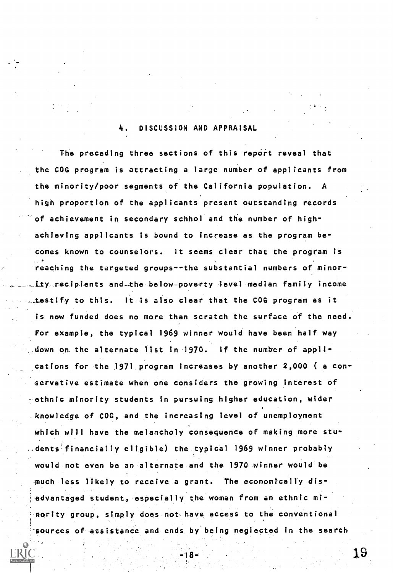### 4. DISCUSSION AND APPRAISAL

The preceding three sections of this report reveal that the COG program is attracting a large number of applicants from the minority/poor segments of the California population. A high proportion of the applicants present outstanding records of achievement in secondary schhol and the number of highachieving applicants is bound to increase as the program becomes known to counselors. It seems clear that the program is reaching the targeted groups--the substantial numbers of minor ity\_recipients and-the below-poverty level median family income testify to this. It is also clear that the COG program as it is now funded does no more than scratch the surface of the need. For example, the typical 1969 winner would have been half way down om the alternate list in 1970. If the number of applications for the 1971 program increases by another 2,000 ( a conservative estimate when one considers the growing interest of -ethnic minority students in pursuing higher education, wider knowledge of COG, and the increasing level of unemployment which will have the melancholy consequence of making more stu- ..dents financially eligible) the typical 1969 winner probably would not even be an alternate and the 1970 winner would be much less likely to receive a grant. The economically disadvantaged student, especially the woman from an ethnic minority group, simply does not have access to the conventional sources of assistance and ends by being neglected in the search

 $18 -$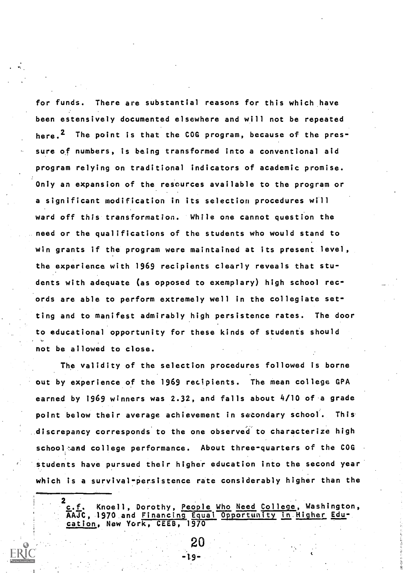for funds. There are substantial reasons for this which have been estensively documented elsewhere and will not be repeated here.<sup>2</sup> The point is that the COG program, because of the pressure of numbers, is being transformed into a conventional aid program relying on traditional indicators of academic promise. Only an expansion of the resources available to the program or a significant modification in its selection procedures will ward off this transformation. While one cannot question the need or the qualifications of the students who would stand to win grants if the program were maintained at its present level, the experience with 1969 recipients clearly reveals that students with adequate (as opposed to exemplary) high school records are able to perform extremely well in the collegiate setting and to manifest admirably high persistence rates. The door to educational opportunity for these kinds of students should not be allowed to close.

The validity of the selection procedures followed is borne out by experience of the 1969 recipients. The mean college GPA earned by 1969 winners was 2.32, and falls about 4/10 of a grade point below their average achievement in secondary school. This discrepancy corresponds to the one observed to characterize high school and college performance. About three-quarters of the COG students have pursued their higher education into the second year which is a survival-persistence rate considerably higher than the

2<br>c.f. Knoell, Dorothy, <u>People Who Need College</u>, Washington, AAJC, 1970 and Financing Equal Opportunity in Higher Education, New York, CEEB, 1970

20

-19-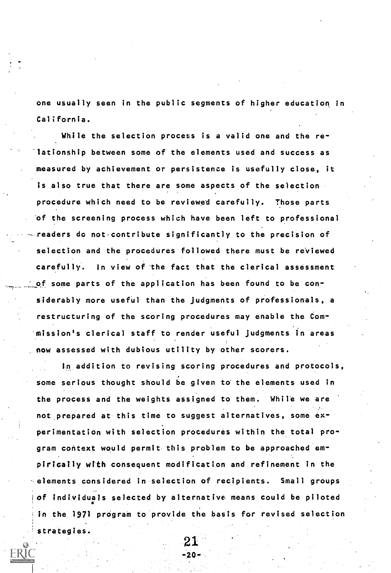one usually seen in the public segments of higher education in California.

While the selection process is a valid one and the relationship between some of the elements used and success as measured by achievement or persistence is usefully close, it is also true that there are some aspects of the selection procedure which need to be reviewed carefully. Those parts of the screening process which have been left to professional readers do not contribute significantly to the precision of selection and the procedures followed there must be reviewed carefully. In view of the fact that the clerical assessment \_of some parts of the application has been found to be considerably more useful than the judgments of professionals, a restructuring of the scoring procedures may enable the Commission's clerical staff to render useful judgments in areas now assessed with dubious utility by other scorers.

In addition to revising scoring procedures and protocols, some serious thought should be given to the elements used in the process and the weights assigned to them. While we are not prepared at this time to suggest alternatives, some experimentation with selection procedures within the total program context would permit this problem to be approached empirically with consequent modification and refinement in the elements considered in selection of recipients. Small groups of individuals selected by alternative means could be piloted in the 1971 program to provide the basis for revised selection strategies.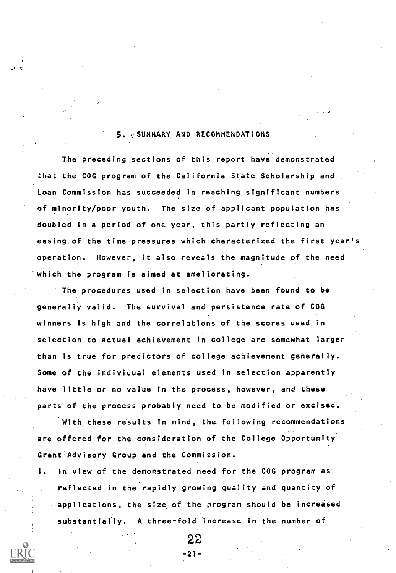## 5. SUMMARY AND RECOMMENDATIONS

.t

The preceding sections of this report have demonstrated that the COG program of the California State Scholarship and . Loan Commission has succeeded in reaching significant numbers of minority/poor youth. The size of applicant population has doubled in a period of one year, this partly reflecting an easing of the time pressures which characterized the first year's operation. However, it also reveals the magnitude of the need which the program is aimed at ameliorating.

The procedures used in selection have been found to be generally valid. The survival and persistence rate of COG winners is high and the correlations of the scores used in selection to actual achievement in college are somewhat larger than is true for predictors of college achievement generally. Some of the individual elements used in selection apparently have little or no value in the process, however, and these parts of the process probably need to be modified or excised.

With these results in mind, the following recommendations are offered for the consideration of the College Opportunity Grant Advisory Group and the Commission.

1. In view of the demonstrated need for the COG program as reflected in the rapidly growing quality and quantity of applications, the size of the program should be increased substantially. A three-fold increase in the number of

 $22^{10}$ -21-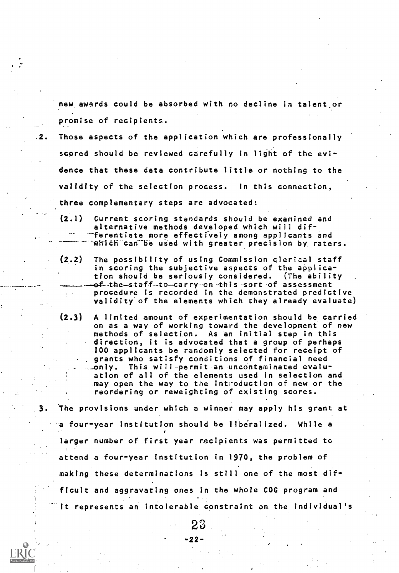new awards could be absorbed with no decline in talent or promise of recipients.

- 2. Those aspects of the application which are professionally scored should be reviewed carefully in light of the evidence that these data contribute little or nothing to the validity of the selection process. In this connection, three complementary steps are advocated:
	- (2.1) Current scoring standards should be examined and alternative methods developed which will dif- -ferentiate more effectively among applicants and  $\n$  which can be used with greater precision by raters.
	- (2.2) The possibility of using Commission clerical staff in scoring the subjective aspects of the application should be seriously considered. (The ability . of-the staff to carry on this sort of assessment procedure is recorded in the demonstrated predictive validity of the elements which they already evaluate)
	- (2.3) A limited amount of experimentation should be carried on as a way of working toward the development of new methods of selection. As an initial step in this direction, it is advocated that a group of perhaps 100 applicants be randomly selected for receipt of grants who satisfy conditions of financial need \_only. This will permit an uncontaminated evaluation of all of the elements used in selection and may open the way to the introduction of new or the reordering or reweighting of existing scores.
- 3. The provisions under which a winner may apply his grant at a four-year institution should be liberalized. While a larger number of first year recipients was permitted to attend a four-year institution in 1970, the problem of making these determinations is still one of the most difficult and aggravating ones in the whole COG program and it represents an intolerable constraint on the individual's

23

-22-